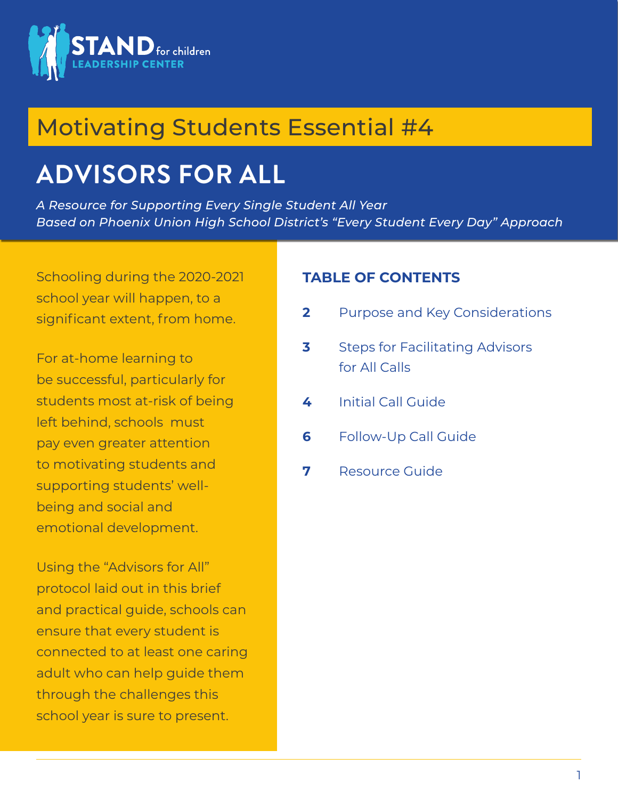

# Motivating Students Essential #4

# **ADVISORS FOR ALL**

*A Resource for Supporting Every Single Student All Year Based on Phoenix Union High School District's "Every Student Every Day" Approach*

Schooling during the 2020-2021 school year will happen, to a significant extent, from home.

For at-home learning to be successful, particularly for students most at-risk of being left behind, schools must pay even greater attention to motivating students and supporting students' wellbeing and social and emotional development.

Using the "Advisors for All" protocol laid out in this brief and practical guide, schools can ensure that every student is connected to at least one caring adult who can help guide them through the challenges this school year is sure to present.

#### **TABLE OF CONTENTS**

- **2** Purpose and Key Considerations
- **3** Steps for Facilitating Advisors for All Calls
- **4** Initial Call Guide
- **6** Follow-Up Call Guide
- **7** Resource Guide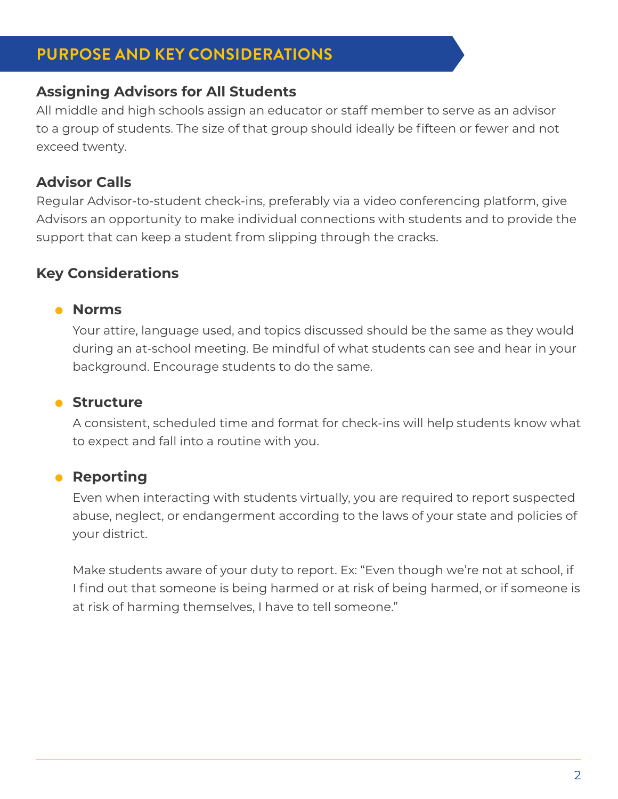# **PURPOSE AND KEY CONSIDERATIONS**

## **Assigning Advisors for All Students**

All middle and high schools assign an educator or staff member to serve as an advisor to a group of students. The size of that group should ideally be fifteen or fewer and not exceed twenty.

# **Advisor Calls**

Regular Advisor-to-student check-ins, preferably via a video conferencing platform, give Advisors an opportunity to make individual connections with students and to provide the support that can keep a student from slipping through the cracks.

# **Key Considerations**

#### z **Norms**

Your attire, language used, and topics discussed should be the same as they would during an at-school meeting. Be mindful of what students can see and hear in your background. Encourage students to do the same.

#### **• Structure**

A consistent, scheduled time and format for check-ins will help students know what to expect and fall into a routine with you.

#### **• Reporting**

Even when interacting with students virtually, you are required to report suspected abuse, neglect, or endangerment according to the laws of your state and policies of your district.

Make students aware of your duty to report. Ex: "Even though we're not at school, if I find out that someone is being harmed or at risk of being harmed, or if someone is at risk of harming themselves, I have to tell someone."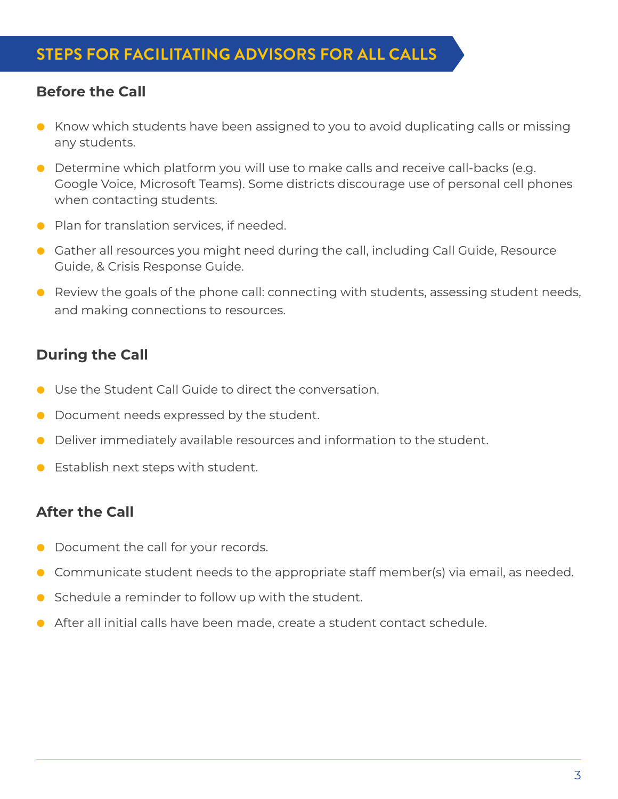## **Before the Call**

- Know which students have been assigned to you to avoid duplicating calls or missing any students.
- **•** Determine which platform you will use to make calls and receive call-backs (e.g. Google Voice, Microsoft Teams). Some districts discourage use of personal cell phones when contacting students.
- **Plan for translation services, if needed.**
- Gather all resources you might need during the call, including Call Guide, Resource Guide, & Crisis Response Guide.
- $\bullet$  Review the goals of the phone call: connecting with students, assessing student needs, and making connections to resources.

# **During the Call**

- **O** Use the Student Call Guide to direct the conversation.
- Document needs expressed by the student.
- **•** Deliver immediately available resources and information to the student.
- $\bullet$  Establish next steps with student.

# **After the Call**

- Document the call for your records.
- $\bullet$  Communicate student needs to the appropriate staff member(s) via email, as needed.
- $\bullet$  Schedule a reminder to follow up with the student.
- $\bullet$  After all initial calls have been made, create a student contact schedule.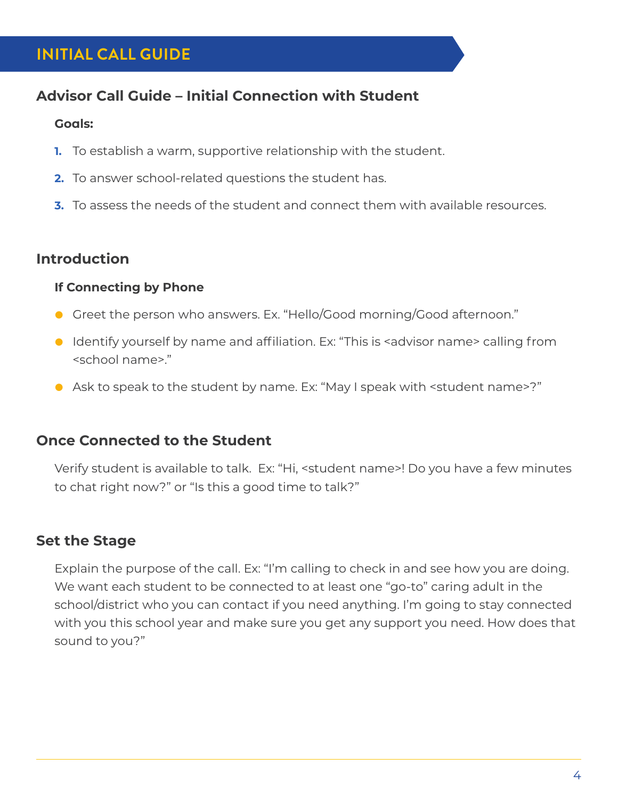# **INITIAL CALL GUIDE**

# **Advisor Call Guide – Initial Connection with Student**

#### **Goals:**

- **1.** To establish a warm, supportive relationship with the student.
- **2.** To answer school-related questions the student has.
- **3.** To assess the needs of the student and connect them with available resources.

# **Introduction**

#### **If Connecting by Phone**

- **•** Greet the person who answers. Ex. "Hello/Good morning/Good afternoon."
- Identify yourself by name and affiliation. Ex: "This is <advisor name> calling from <school name>."
- Ask to speak to the student by name. Ex: "May I speak with <student name>?"

#### **Once Connected to the Student**

Verify student is available to talk. Ex: "Hi, <student name>! Do you have a few minutes to chat right now?" or "Is this a good time to talk?"

# **Set the Stage**

Explain the purpose of the call. Ex: "I'm calling to check in and see how you are doing. We want each student to be connected to at least one "go-to" caring adult in the school/district who you can contact if you need anything. I'm going to stay connected with you this school year and make sure you get any support you need. How does that sound to you?"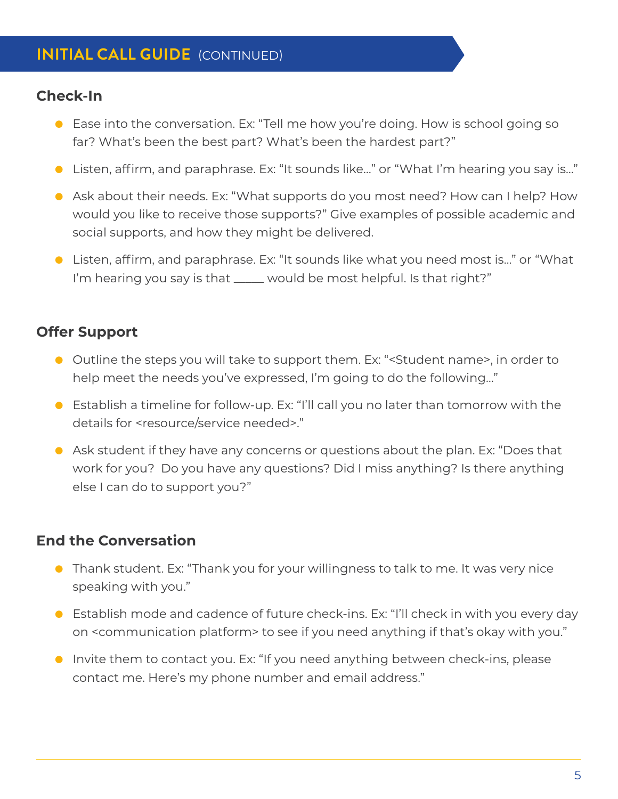# **INITIAL CALL GUIDE** (CONTINUED)

### **Check-In**

- Ease into the conversation. Ex: "Tell me how you're doing. How is school going so far? What's been the best part? What's been the hardest part?"
- Listen, affirm, and paraphrase. Ex: "It sounds like..." or "What I'm hearing you say is..."
- **•** Ask about their needs. Ex: "What supports do you most need? How can I help? How would you like to receive those supports?" Give examples of possible academic and social supports, and how they might be delivered.
- Listen, affirm, and paraphrase. Ex: "It sounds like what you need most is..." or "What I'm hearing you say is that \_\_\_\_\_ would be most helpful. Is that right?"

# **Offer Support**

- Outline the steps you will take to support them. Ex: "<Student name>, in order to help meet the needs you've expressed, I'm going to do the following…"
- Establish a timeline for follow-up. Ex: "I'll call you no later than tomorrow with the details for <resource/service needed>."
- **•** Ask student if they have any concerns or questions about the plan. Ex: "Does that work for you? Do you have any questions? Did I miss anything? Is there anything else I can do to support you?"

# **End the Conversation**

- Thank student. Ex: "Thank you for your willingness to talk to me. It was very nice speaking with you."
- **•** Establish mode and cadence of future check-ins. Ex: "I'll check in with you every day on <communication platform> to see if you need anything if that's okay with you."
- Invite them to contact you. Ex: "If you need anything between check-ins, please contact me. Here's my phone number and email address."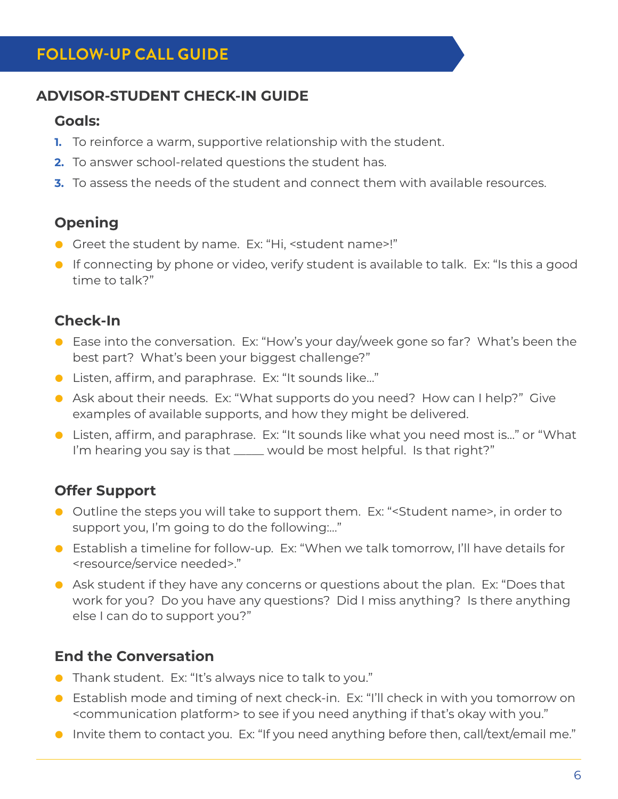# **FOLLOW-UP CALL GUIDE**

## **ADVISOR-STUDENT CHECK-IN GUIDE**

#### **Goals:**

- **1.** To reinforce a warm, supportive relationship with the student.
- **2.** To answer school-related questions the student has.
- **3.** To assess the needs of the student and connect them with available resources.

# **Opening**

- Greet the student by name. Ex: "Hi, <student name>!"
- **•** If connecting by phone or video, verify student is available to talk. Ex: "Is this a good time to talk?"

# **Check-In**

- Ease into the conversation. Ex: "How's your day/week gone so far? What's been the best part? What's been your biggest challenge?"
- Listen, affirm, and paraphrase. Ex: "It sounds like..."
- Ask about their needs. Ex: "What supports do you need? How can I help?" Give examples of available supports, and how they might be delivered.
- Listen, affirm, and paraphrase. Ex: "It sounds like what you need most is..." or "What I'm hearing you say is that \_\_\_\_\_ would be most helpful. Is that right?"

# **Offer Support**

- Outline the steps you will take to support them. Ex: "<Student name>, in order to support you, I'm going to do the following:…"
- Establish a timeline for follow-up. Ex: "When we talk tomorrow, I'll have details for <resource/service needed>."
- **•** Ask student if they have any concerns or questions about the plan. Ex: "Does that work for you? Do you have any questions? Did I miss anything? Is there anything else I can do to support you?"

# **End the Conversation**

- **•** Thank student. Ex: "It's always nice to talk to you."
- Establish mode and timing of next check-in. Ex: "I'll check in with you tomorrow on <communication platform> to see if you need anything if that's okay with you."
- **•** Invite them to contact you. Ex: "If you need anything before then, call/text/email me."